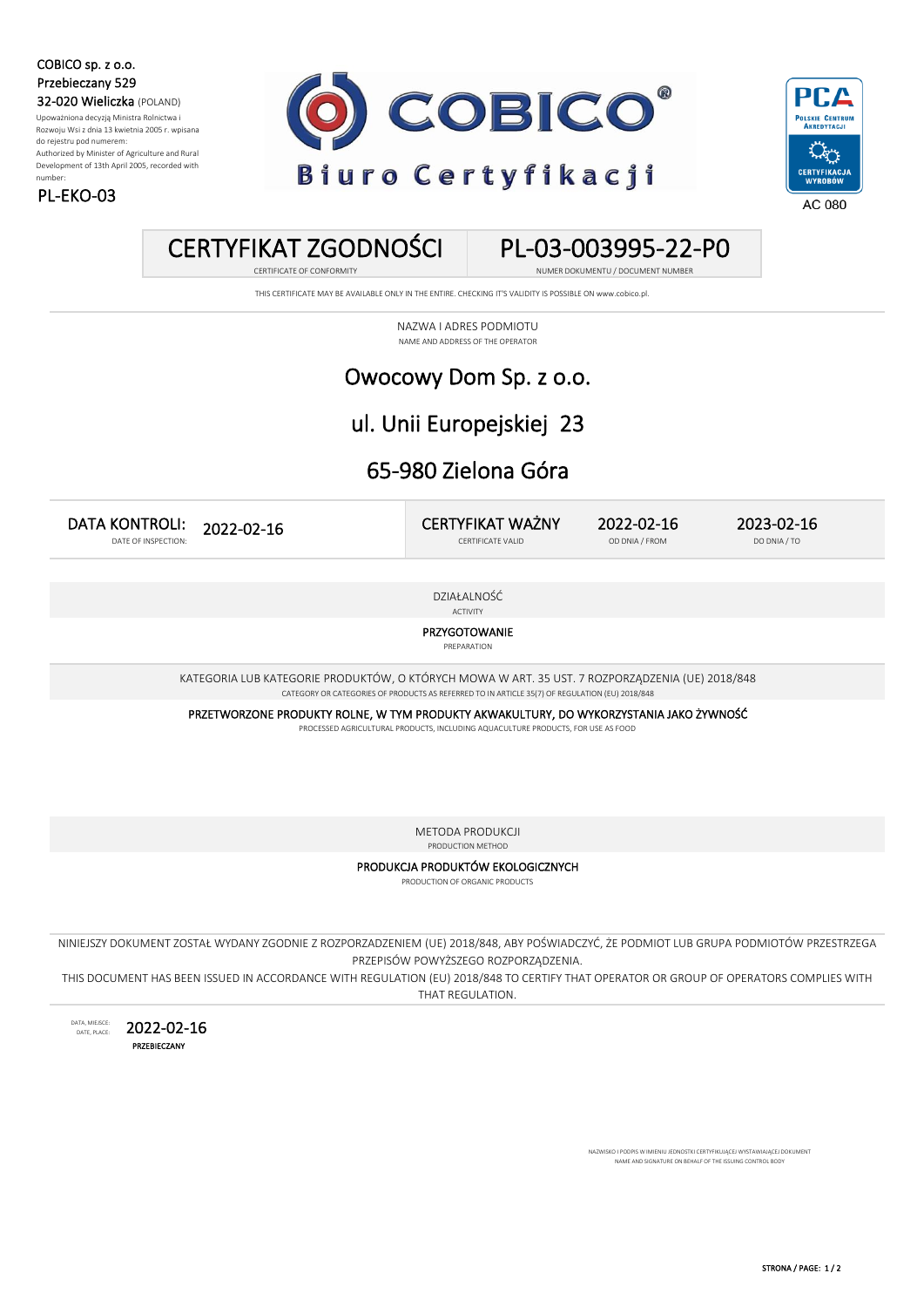COBICO sp. z o.o. Przebieczany 529 32-020 Wieliczka (POLAND)

PL-EKO-03

Upoważniona decyzją Ministra Rolnictwa i Rozwoju Wsi z dnia 13 kwietnia 2005 r. wpisana do rejestru pod numerem: Authorized by Minister of Agriculture and Rural Development of 13th April 2005, recorded with number:





### CERTYFIKAT ZGODNOŚCI

#### PL-03-003995-22-P0 CERTIFICATE OF CONFORMITY **NUMER DOKUMENTU** / DOCUMENT NUMBER

THIS CERTIFICATE MAY BE AVAILABLE ONLY IN THE ENTIRE. CHECKING IT'S VALIDITY IS POSSIBLE ON www.cobico.pl.

NAZWA I ADRES PODMIOTU NAME AND ADDRESS OF THE OPERATOR

#### Owocowy Dom Sp. z o.o.

#### ul. Unii Europejskiej 23

### 65-980 Zielona Góra

CERTYFIKAT WAŻNY 2023-02-16 DATA KONTROLI: 2022-02-16 DATE OF INSPECTION: 2022-02-16

CERTIFICATE VALID OD DNIA / FROM DO DNIA / TO

DZIAŁALNOŚĆ

ACTIVITY

PRZYGOTOWANIE

PREPARATION

KATEGORIA LUB KATEGORIE PRODUKTÓW, O KTÓRYCH MOWA W ART. 35 UST. 7 ROZPORZĄDZENIA (UE) 2018/848 CATEGORY OR CATEGORIES OF PRODUCTS AS REFERRED TO IN ARTICLE 35(7) OF REGULATION (EU) 2018/848

PRZETWORZONE PRODUKTY ROLNE, W TYM PRODUKTY AKWAKULTURY, DO WYKORZYSTANIA JAKO ŻYWNOŚĆ

PROCESSED AGRICULTURAL PRODUCTS, INCLUDING AQUACULTURE PRODUCTS, FOR USE AS FOOD

METODA PRODUKCJI

PRODUCTION METHOD

PRODUKCJA PRODUKTÓW EKOLOGICZNYCH PRODUCTION OF ORGANIC PRODUCTS

NINIEJSZY DOKUMENT ZOSTAŁ WYDANY ZGODNIE Z ROZPORZADZENIEM (UE) 2018/848, ABY POŚWIADCZYĆ, ŻE PODMIOT LUB GRUPA PODMIOTÓW PRZESTRZEGA PRZEPISÓW POWYŻSZEGO ROZPORZĄDZENIA.

THIS DOCUMENT HAS BEEN ISSUED IN ACCORDANCE WITH REGULATION (EU) 2018/848 TO CERTIFY THAT OPERATOR OR GROUP OF OPERATORS COMPLIES WITH THAT REGULATION.

DATA, MIEJSCE: DATE, PLACE: PRZEBIECZANY 2022-02-16

> .<br>SKO I PODPIS W IMIENIU JEDNOSTKI CERTYFIKUJĄCEJ WYSTAWIAJĄCEJ DOKUMENT NAME AND SIGNATURE ON BEHALF OF THE ISSUING CONTROL BODY